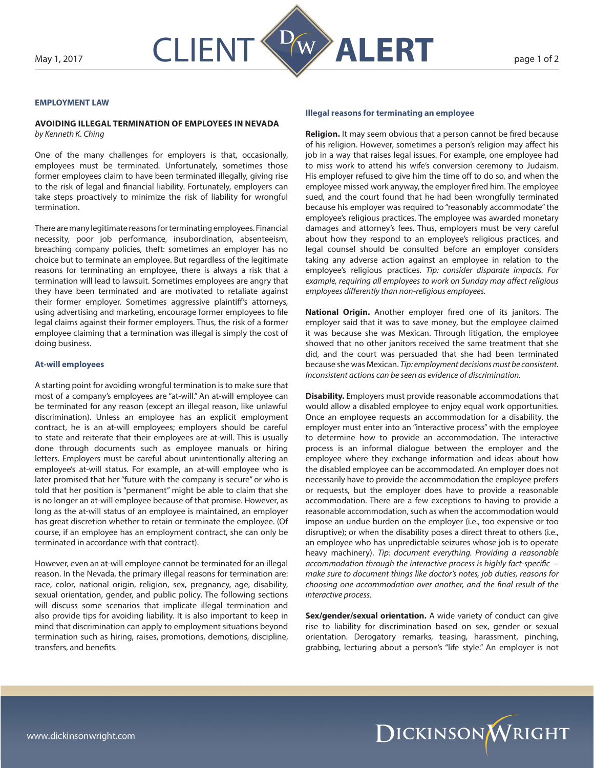

## **EMPLOYMENT LAW**

## **AVOIDING ILLEGAL TERMINATION OF EMPLOYEES IN NEVADA**

*by Kenneth K. Ching*

One of the many challenges for employers is that, occasionally, employees must be terminated. Unfortunately, sometimes those former employees claim to have been terminated illegally, giving rise to the risk of legal and financial liability. Fortunately, employers can take steps proactively to minimize the risk of liability for wrongful termination.

There are many legitimate reasons for terminating employees. Financial necessity, poor job performance, insubordination, absenteeism, breaching company policies, theft: sometimes an employer has no choice but to terminate an employee. But regardless of the legitimate reasons for terminating an employee, there is always a risk that a termination will lead to lawsuit. Sometimes employees are angry that they have been terminated and are motivated to retaliate against their former employer. Sometimes aggressive plaintiff's attorneys, using advertising and marketing, encourage former employees to file legal claims against their former employers. Thus, the risk of a former employee claiming that a termination was illegal is simply the cost of doing business.

## **At-will employees**

A starting point for avoiding wrongful termination is to make sure that most of a company's employees are "at-will." An at-will employee can be terminated for any reason (except an illegal reason, like unlawful discrimination). Unless an employee has an explicit employment contract, he is an at-will employees; employers should be careful to state and reiterate that their employees are at-will. This is usually done through documents such as employee manuals or hiring letters. Employers must be careful about unintentionally altering an employee's at-will status. For example, an at-will employee who is later promised that her "future with the company is secure" or who is told that her position is "permanent" might be able to claim that she is no longer an at-will employee because of that promise. However, as long as the at-will status of an employee is maintained, an employer has great discretion whether to retain or terminate the employee. (Of course, if an employee has an employment contract, she can only be terminated in accordance with that contract).

However, even an at-will employee cannot be terminated for an illegal reason. In the Nevada, the primary illegal reasons for termination are: race, color, national origin, religion, sex, pregnancy, age, disability, sexual orientation, gender, and public policy. The following sections will discuss some scenarios that implicate illegal termination and also provide tips for avoiding liability. It is also important to keep in mind that discrimination can apply to employment situations beyond termination such as hiring, raises, promotions, demotions, discipline, transfers, and benefits.

## **Illegal reasons for terminating an employee**

**Religion.** It may seem obvious that a person cannot be fired because of his religion. However, sometimes a person's religion may affect his job in a way that raises legal issues. For example, one employee had to miss work to attend his wife's conversion ceremony to Judaism. His employer refused to give him the time off to do so, and when the employee missed work anyway, the employer fired him. The employee sued, and the court found that he had been wrongfully terminated because his employer was required to "reasonably accommodate" the employee's religious practices. The employee was awarded monetary damages and attorney's fees. Thus, employers must be very careful about how they respond to an employee's religious practices, and legal counsel should be consulted before an employer considers taking any adverse action against an employee in relation to the employee's religious practices. *Tip: consider disparate impacts. For example, requiring all employees to work on Sunday may affect religious employees differently than non-religious employees.*

**National Origin.** Another employer fired one of its janitors. The employer said that it was to save money, but the employee claimed it was because she was Mexican. Through litigation, the employee showed that no other janitors received the same treatment that she did, and the court was persuaded that she had been terminated because she was Mexican. *Tip: employment decisions must be consistent. Inconsistent actions can be seen as evidence of discrimination.*

**Disability.** Employers must provide reasonable accommodations that would allow a disabled employee to enjoy equal work opportunities. Once an employee requests an accommodation for a disability, the employer must enter into an "interactive process" with the employee to determine how to provide an accommodation. The interactive process is an informal dialogue between the employer and the employee where they exchange information and ideas about how the disabled employee can be accommodated. An employer does not necessarily have to provide the accommodation the employee prefers or requests, but the employer does have to provide a reasonable accommodation. There are a few exceptions to having to provide a reasonable accommodation, such as when the accommodation would impose an undue burden on the employer (i.e., too expensive or too disruptive); or when the disability poses a direct threat to others (i.e., an employee who has unpredictable seizures whose job is to operate heavy machinery). *Tip: document everything. Providing a reasonable accommodation through the interactive process is highly fact-specific – make sure to document things like doctor's notes, job duties, reasons for choosing one accommodation over another, and the final result of the interactive process.*

**Sex/gender/sexual orientation.** A wide variety of conduct can give rise to liability for discrimination based on sex, gender or sexual orientation. Derogatory remarks, teasing, harassment, pinching, grabbing, lecturing about a person's "life style." An employer is not